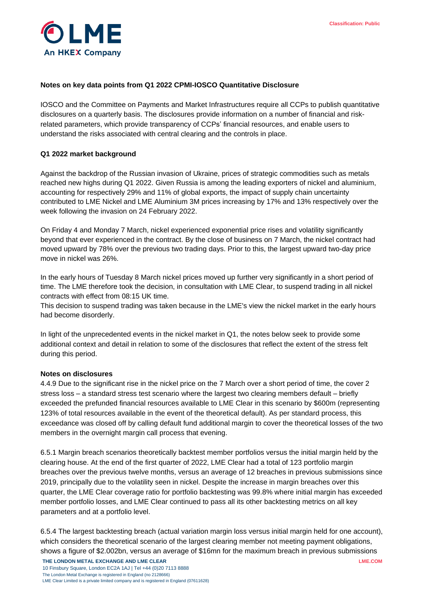

## **Notes on key data points from Q1 2022 CPMI-IOSCO Quantitative Disclosure**

IOSCO and the Committee on Payments and Market Infrastructures require all CCPs to publish quantitative disclosures on a quarterly basis. The disclosures provide information on a number of financial and riskrelated parameters, which provide transparency of CCPs' financial resources, and enable users to understand the risks associated with central clearing and the controls in place.

## **Q1 2022 market background**

Against the backdrop of the Russian invasion of Ukraine, prices of strategic commodities such as metals reached new highs during Q1 2022. Given Russia is among the leading exporters of nickel and aluminium, accounting for respectively 29% and 11% of global exports, the impact of supply chain uncertainty contributed to LME Nickel and LME Aluminium 3M prices increasing by 17% and 13% respectively over the week following the invasion on 24 February 2022.

On Friday 4 and Monday 7 March, nickel experienced exponential price rises and volatility significantly beyond that ever experienced in the contract. By the close of business on 7 March, the nickel contract had moved upward by 78% over the previous two trading days. Prior to this, the largest upward two-day price move in nickel was 26%.

In the early hours of Tuesday 8 March nickel prices moved up further very significantly in a short period of time. The LME therefore took the decision, in consultation with LME Clear, to suspend trading in all nickel contracts with effect from 08:15 UK time.

This decision to suspend trading was taken because in the LME's view the nickel market in the early hours had become disorderly.

In light of the unprecedented events in the nickel market in Q1, the notes below seek to provide some additional context and detail in relation to some of the disclosures that reflect the extent of the stress felt during this period.

## **Notes on disclosures**

4.4.9 Due to the significant rise in the nickel price on the 7 March over a short period of time, the cover 2 stress loss – a standard stress test scenario where the largest two clearing members default – briefly exceeded the prefunded financial resources available to LME Clear in this scenario by \$600m (representing 123% of total resources available in the event of the theoretical default). As per standard process, this exceedance was closed off by calling default fund additional margin to cover the theoretical losses of the two members in the overnight margin call process that evening.

6.5.1 Margin breach scenarios theoretically backtest member portfolios versus the initial margin held by the clearing house. At the end of the first quarter of 2022, LME Clear had a total of 123 portfolio margin breaches over the previous twelve months, versus an average of 12 breaches in previous submissions since 2019, principally due to the volatility seen in nickel. Despite the increase in margin breaches over this quarter, the LME Clear coverage ratio for portfolio backtesting was 99.8% where initial margin has exceeded member portfolio losses, and LME Clear continued to pass all its other backtesting metrics on all key parameters and at a portfolio level.

6.5.4 The largest backtesting breach (actual variation margin loss versus initial margin held for one account), which considers the theoretical scenario of the largest clearing member not meeting payment obligations, shows a figure of \$2.002bn, versus an average of \$16mn for the maximum breach in previous submissions